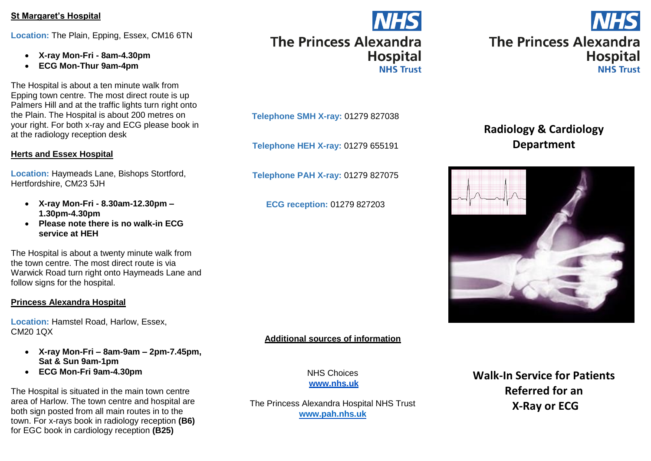#### **St Margaret's Hospital**

**Location:** The Plain, Epping, Essex, CM16 6TN

- **X-ray Mon-Fri - 8am-4.30pm**
- **ECG Mon-Thur 9am-4pm**

The Hospital is about a ten minute walk from Epping town centre. The most direct route is up Palmers Hill and at the traffic lights turn right onto the Plain. The Hospital is about 200 metres on your right. For both x-ray and ECG please book in at the radiology reception desk

#### **Herts and Essex Hospital**

**Location:** Haymeads Lane, Bishops Stortford, Hertfordshire, CM23 5JH

- **X-ray Mon-Fri - 8.30am-12.30pm – 1.30pm-4.30pm**
- **Please note there is no walk-in ECG service at HEH**

The Hospital is about a twenty minute walk from the town centre. The most direct route is via Warwick Road turn right onto Haymeads Lane and follow signs for the hospital.

#### **Princess Alexandra Hospital**

**Location:** Hamstel Road, Harlow, Essex, CM20 1QX

- **X-ray Mon-Fri – 8am-9am – 2pm-7.45pm, Sat & Sun 9am-1pm**
- **ECG Mon-Fri 9am-4.30pm**

The Hospital is situated in the main town centre area of Harlow. The town centre and hospital are both sign posted from all main routes in to the town. For x-rays book in radiology reception **(B6)** for EGC book in cardiology reception **(B25)**

### **NHS The Princess Alexandra Hospital NHS Trust**

**Telephone SMH X-ray:** 01279 827038

**Telephone HEH X-ray:** 01279 655191

**Telephone PAH X-ray:** 01279 827075

**ECG reception:** 01279 827203

#### **Additional sources of information**

NHS Choices **www.nhs.uk**

The Princess Alexandra Hospital NHS Trust **[www.pah.nhs.uk](http://www.pah.nhs.uk/)**



### **Radiology & Cardiology Department**



**Walk-In Service for Patients Referred for an X-Ray or ECG**